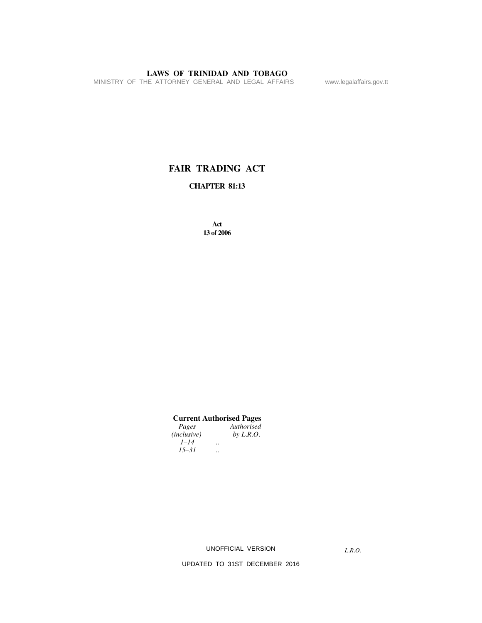MINISTRY OF THE ATTORNEY GENERAL AND LEGAL AFFAIRS www.legalaffairs.gov.tt

# **FAIR TRADING ACT**

# **CHAPTER 81:13**

**Act 13 of 2006**

# **Current Authorised Pages**

| Pages              |                      | Authorised  |
|--------------------|----------------------|-------------|
| <i>(inclusive)</i> |                      | by $L.R.O.$ |
| $1 - 14$           | $\ddot{\phantom{0}}$ |             |
| $15 - 31$          | $\ddot{\phantom{0}}$ |             |
|                    |                      |             |

UNOFFICIAL VERSION

*L.R.O.*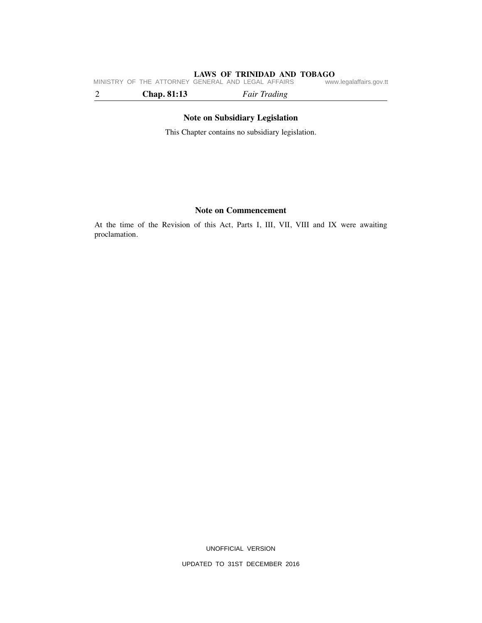**LAWS OF TRINIDAD AND TOBAGO**<br>GENERAL AND LEGAL AFFAIRS www.legalaffairs.gov.tt MINISTRY OF THE ATTORNEY GENERAL AND LEGAL AFFAIRS

2 **Chap. 81:13** *Fair Trading*

# **Note on Subsidiary Legislation**

This Chapter contains no subsidiary legislation.

# **Note on Commencement**

At the time of the Revision of this Act, Parts I, III, VII, VIII and IX were awaiting proclamation.

UNOFFICIAL VERSION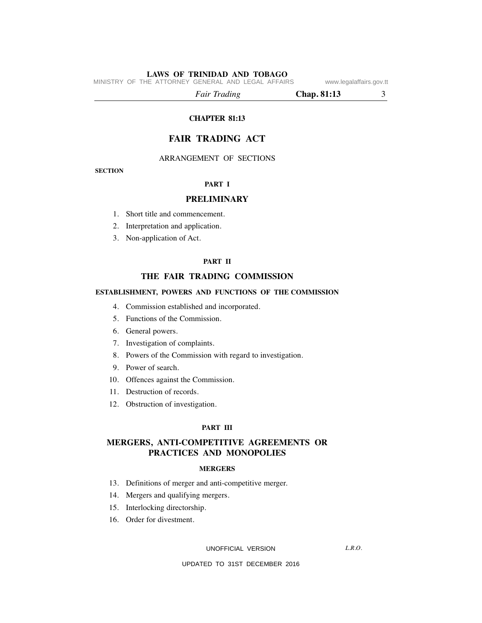MINISTRY OF THE ATTORNEY GENERAL AND LEGAL AFFAIRS www.legalaffairs.gov.tt

*Fair Trading* **Chap. 81:13** 3

## **CHAPTER 81:13**

# **FAIR TRADING ACT**

ARRANGEMENT OF SECTIONS

## **SECTION**

## **PART I**

# **PRELIMINARY**

- 1. Short title and commencement.
- 2. Interpretation and application.
- 3. Non-application of Act.

### **PART II**

# **THE FAIR TRADING COMMISSION**

## **ESTABLISHMENT, POWERS AND FUNCTIONS OF THE COMMISSION**

- 4. Commission established and incorporated.
- 5. Functions of the Commission.
- 6. General powers.
- 7. Investigation of complaints.
- 8. Powers of the Commission with regard to investigation.
- 9. Power of search.
- 10. Offences against the Commission.
- 11. Destruction of records.
- 12. Obstruction of investigation.

#### **PART III**

# **MERGERS, ANTI-COMPETITIVE AGREEMENTS OR PRACTICES AND MONOPOLIES**

#### **MERGERS**

- 13. Definitions of merger and anti-competitive merger.
- 14. Mergers and qualifying mergers.
- 15. Interlocking directorship.
- 16. Order for divestment.

UNOFFICIAL VERSION

*L.R.O.*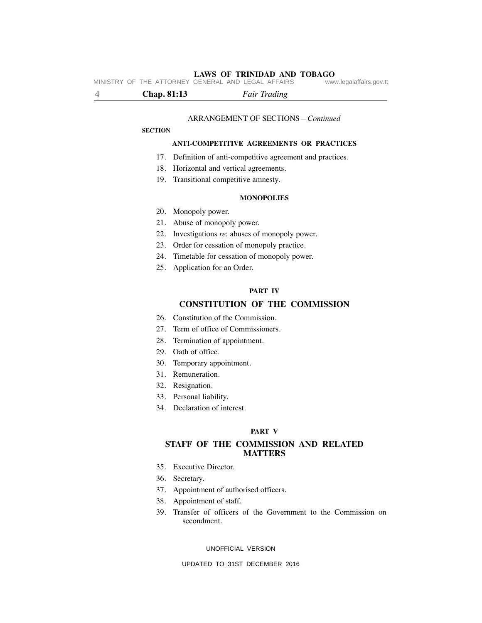**LAWS OF TRINIDAD AND TOBAGO**<br>GENERAL AND LEGAL AFFAIRS www.legalaffairs.gov.tt MINISTRY OF THE ATTORNEY GENERAL AND LEGAL AFFAIRS

4 **Chap. 81:13** *Fair Trading*

#### ARRANGEMENT OF SECTIONS—*Continued*

#### **SECTION**

## **ANTI-COMPETITIVE AGREEMENTS OR PRACTICES**

- 17. Definition of anti-competitive agreement and practices.
- 18. Horizontal and vertical agreements.
- 19. Transitional competitive amnesty.

## **MONOPOLIES**

- 20. Monopoly power.
- 21. Abuse of monopoly power.
- 22. Investigations *re*: abuses of monopoly power.
- 23. Order for cessation of monopoly practice.
- 24. Timetable for cessation of monopoly power.
- 25. Application for an Order.

#### **PART IV**

# **CONSTITUTION OF THE COMMISSION**

- 26. Constitution of the Commission.
- 27. Term of office of Commissioners.
- 28. Termination of appointment.
- 29. Oath of office.
- 30. Temporary appointment.
- 31. Remuneration.
- 32. Resignation.
- 33. Personal liability.
- 34. Declaration of interest.

#### **PART V**

# **STAFF OF THE COMMISSION AND RELATED MATTERS**

- 35. Executive Director.
- 36. Secretary.
- 37. Appointment of authorised officers.
- 38. Appointment of staff.
- 39. Transfer of officers of the Government to the Commission on secondment.

#### UNOFFICIAL VERSION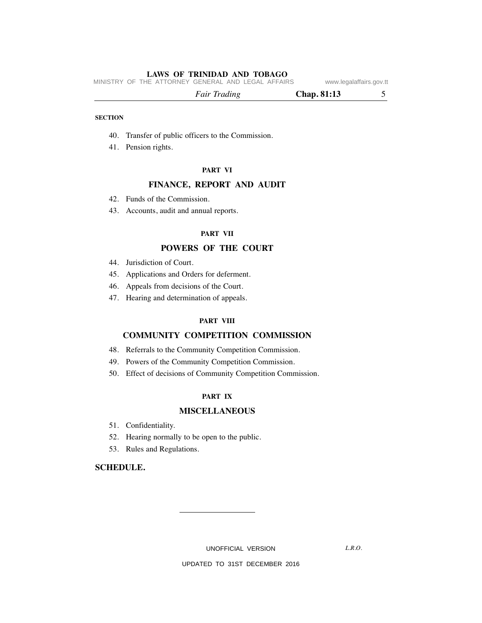MINISTRY OF THE ATTORNEY GENERAL AND LEGAL AFFAIRS www.legalaffairs.gov.tt

| <b>Fair Trading</b> |
|---------------------|
|                     |

## **SECTION**

- 40. Transfer of public officers to the Commission.
- 41. Pension rights.

#### **PART VI**

# **FINANCE, REPORT AND AUDIT**

- 42. Funds of the Commission.
- 43. Accounts, audit and annual reports.

## **PART VII**

# **POWERS OF THE COURT**

- 44. Jurisdiction of Court.
- 45. Applications and Orders for deferment.
- 46. Appeals from decisions of the Court.
- 47. Hearing and determination of appeals.

# **PART VIII**

# **COMMUNITY COMPETITION COMMISSION**

- 48. Referrals to the Community Competition Commission.
- 49. Powers of the Community Competition Commission.
- 50. Effect of decisions of Community Competition Commission.

## **PART IX**

# **MISCELLANEOUS**

- 51. Confidentiality.
- 52. Hearing normally to be open to the public.
- 53. Rules and Regulations.

# **SCHEDULE.**

UNOFFICIAL VERSION

*L.R.O.*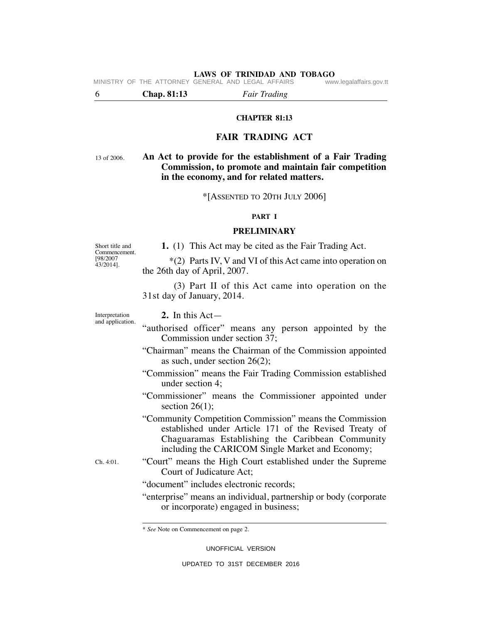**LAWS OF TRINIDAD AND TOBAGO** MINISTRY OF THE ATTORNEY GENERAL AND LEGAL AFFAIRS

6 **Chap. 81:13** *Fair Trading*

## **CHAPTER 81:13**

# **FAIR TRADING ACT**

13 of 2006.

# **An Act to provide for the establishment of a Fair Trading Commission, to promote and maintain fair competition in the economy, and for related matters.**

\*[ASSENTED TO 20TH JULY 2006]

# **PART I**

# **PRELIMINARY**

Short title and Commencement. [98/2007 43/2014].

 **1.** (1) This Act may be cited as the Fair Trading Act.

\*(2) Parts IV, V and VI of this Act came into operation on the 26th day of April, 2007.

(3) Part II of this Act came into operation on the 31st day of January, 2014.

Interpretation and application.  **2.** In this Act—

- "authorised officer" means any person appointed by the Commission under section 37;
- "Chairman" means the Chairman of the Commission appointed as such, under section 26(2);
- "Commission" means the Fair Trading Commission established under section 4;
- "Commissioner" means the Commissioner appointed under section  $26(1)$ ;
- "Community Competition Commission" means the Commission established under Article 171 of the Revised Treaty of Chaguaramas Establishing the Caribbean Community including the CARICOM Single Market and Economy;

Ch. 4:01.

- "Court" means the High Court established under the Supreme Court of Judicature Act;
	- "document" includes electronic records;
	- "enterprise" means an individual, partnership or body (corporate or incorporate) engaged in business;

UNOFFICIAL VERSION

<sup>\*</sup> *See* Note on Commencement on page 2.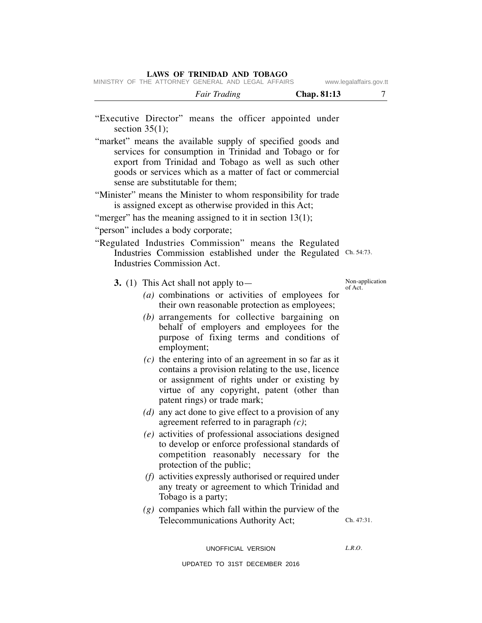|  | MINISTRY OF THE ATTORNEY GENERAL AND LEGAL AFFAIRS |  |  |  |  | www.legalaffairs.gov.tt |
|--|----------------------------------------------------|--|--|--|--|-------------------------|

| <b>Fair Trading</b> | Chap. 81:13 |
|---------------------|-------------|
|                     |             |

- "Executive Director" means the officer appointed under section  $35(1)$ ;
- "market" means the available supply of specified goods and services for consumption in Trinidad and Tobago or for export from Trinidad and Tobago as well as such other goods or services which as a matter of fact or commercial sense are substitutable for them;
- "Minister" means the Minister to whom responsibility for trade is assigned except as otherwise provided in this Act;
- "merger" has the meaning assigned to it in section  $13(1)$ ;

"person" includes a body corporate;

"Regulated Industries Commission" means the Regulated Industries Commission established under the Regulated Ch. 54:73. Industries Commission Act.

 **3.** (1) This Act shall not apply to—

- *(a)* combinations or activities of employees for their own reasonable protection as employees;
- *(b)* arrangements for collective bargaining on behalf of employers and employees for the purpose of fixing terms and conditions of employment;
- *(c)* the entering into of an agreement in so far as it contains a provision relating to the use, licence or assignment of rights under or existing by virtue of any copyright, patent (other than patent rings) or trade mark;
- *(d)* any act done to give effect to a provision of any agreement referred to in paragraph *(c)*;
- *(e)* activities of professional associations designed to develop or enforce professional standards of competition reasonably necessary for the protection of the public;
- *(f)* activities expressly authorised or required under any treaty or agreement to which Trinidad and Tobago is a party;
- *(g)* companies which fall within the purview of the Telecommunications Authority Act;

Ch. 47:31.

UNOFFICIAL VERSION

 $LRO$ 

UPDATED TO 31ST DECEMBER 2016

Non-application of Act.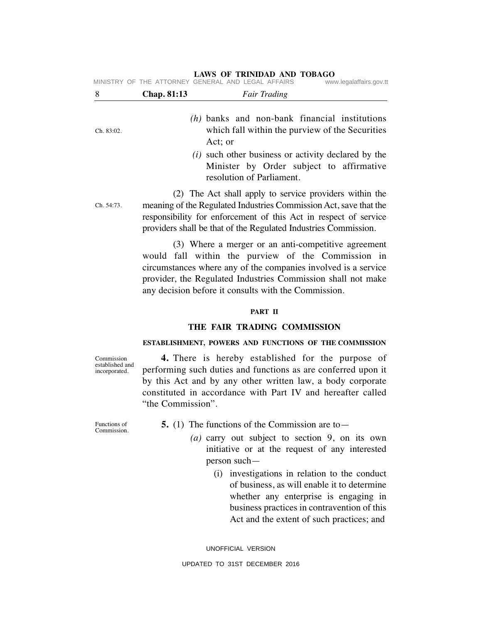|            |             | MINISTRY OF THE ATTORNEY GENERAL AND LEGAL AFFAIRS                                                                                                                                                                                                                                                  | www.legalaffairs.gov.tt |
|------------|-------------|-----------------------------------------------------------------------------------------------------------------------------------------------------------------------------------------------------------------------------------------------------------------------------------------------------|-------------------------|
| 8          | Chap. 81:13 | <b>Fair Trading</b>                                                                                                                                                                                                                                                                                 |                         |
| Ch. 83:02. |             | $(h)$ banks and non-bank financial institutions<br>which fall within the purview of the Securities<br>Act; or                                                                                                                                                                                       |                         |
|            |             | ( <i>i</i> ) such other business or activity declared by the<br>Minister by Order subject to affirmative<br>resolution of Parliament.                                                                                                                                                               |                         |
| Ch. 54:73. |             | (2) The Act shall apply to service providers within the<br>meaning of the Regulated Industries Commission Act, save that the<br>responsibility for enforcement of this Act in respect of service<br>providers shall be that of the Regulated Industries Commission.                                 |                         |
|            |             | (3) Where a merger or an anti-competitive agreement<br>would fall within the purview of the Commission in<br>circumstances where any of the companies involved is a service<br>provider, the Regulated Industries Commission shall not make<br>any decision before it consults with the Commission. |                         |

#### **PART II**

## **THE FAIR TRADING COMMISSION**

# **ESTABLISHMENT, POWERS AND FUNCTIONS OF THE COMMISSION**

 **4.** There is hereby established for the purpose of performing such duties and functions as are conferred upon it by this Act and by any other written law, a body corporate constituted in accordance with Part IV and hereafter called "the Commission".

Functions of Commission.

Commission established and incorporated.

 **5.** (1) The functions of the Commission are to—

- *(a)* carry out subject to section 9, on its own initiative or at the request of any interested person such—
	- (i) investigations in relation to the conduct of business, as will enable it to determine whether any enterprise is engaging in business practices in contravention of this Act and the extent of such practices; and

UNOFFICIAL VERSION UPDATED TO 31ST DECEMBER 2016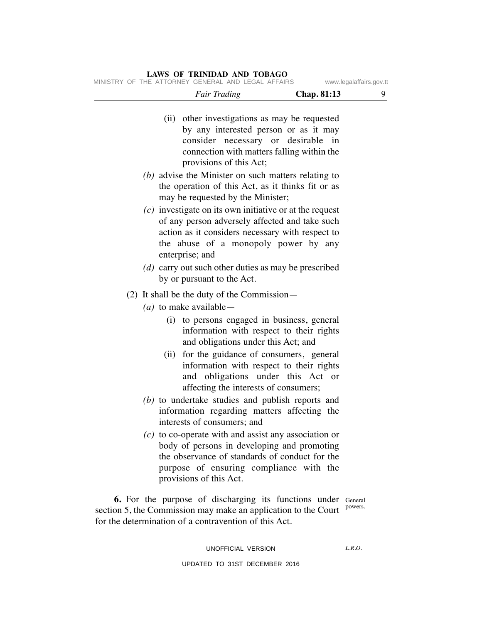MINISTRY OF THE ATTORNEY GENERAL AND LEGAL AFFAIRS www.legalaffairs.gov.tt

| 9                  | Chap. 81:13                                | Fair Trading                                                   |  |
|--------------------|--------------------------------------------|----------------------------------------------------------------|--|
|                    |                                            | (ii) other investigations as may be requested                  |  |
|                    | by any interested person or as it may      |                                                                |  |
|                    | in                                         | consider necessary or desirable                                |  |
|                    | connection with matters falling within the |                                                                |  |
|                    |                                            | provisions of this Act;                                        |  |
|                    |                                            | $(b)$ advise the Minister on such matters relating to          |  |
|                    |                                            | the operation of this Act, as it thinks fit or as              |  |
|                    |                                            | may be requested by the Minister;                              |  |
|                    |                                            | $(c)$ investigate on its own initiative or at the request      |  |
|                    |                                            | of any person adversely affected and take such                 |  |
|                    |                                            | action as it considers necessary with respect to               |  |
|                    |                                            | the abuse of a monopoly power by any                           |  |
|                    |                                            | enterprise; and                                                |  |
|                    |                                            | (d) carry out such other duties as may be prescribed           |  |
|                    |                                            | by or pursuant to the Act.                                     |  |
|                    |                                            | $(2)$ It shall be the duty of the Commission—                  |  |
|                    |                                            |                                                                |  |
|                    |                                            | ( <i>a</i> ) to make available —                               |  |
|                    |                                            | (i) to persons engaged in business, general                    |  |
|                    |                                            | information with respect to their rights                       |  |
|                    |                                            | and obligations under this Act; and                            |  |
|                    |                                            | (ii) for the guidance of consumers, general                    |  |
|                    |                                            | information with respect to their rights                       |  |
|                    | and obligations under this Act or          |                                                                |  |
|                    |                                            | affecting the interests of consumers;                          |  |
|                    |                                            | $(b)$ to undertake studies and publish reports and             |  |
|                    |                                            | information regarding matters affecting the                    |  |
|                    |                                            | interests of consumers; and                                    |  |
|                    |                                            | $(c)$ to co-operate with and assist any association or         |  |
|                    |                                            | body of persons in developing and promoting                    |  |
|                    |                                            | the observance of standards of conduct for the                 |  |
|                    |                                            | purpose of ensuring compliance with the                        |  |
|                    |                                            | provisions of this Act.                                        |  |
|                    |                                            |                                                                |  |
| General<br>powers. |                                            | <b>6.</b> For the purpose of discharging its functions under   |  |
|                    |                                            | section 5, the Commission may make an application to the Court |  |

# UNOFFICIAL VERSION

for the determination of a contravention of this Act.

*L.R.O.*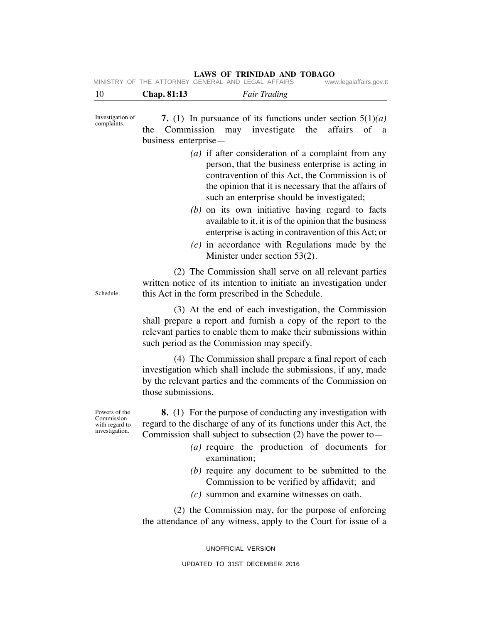| 10 | $Chon$ 81.13                                       |  | Eair Tradino |                         |
|----|----------------------------------------------------|--|--------------|-------------------------|
|    | MINISTRY OF THE ATTORNEY GENERAL AND LEGAL AFFAIRS |  |              | www.legalaffairs.gov.tt |

10 **Chap. 81:13** *Fair Trading* **7.** (1) In pursuance of its functions under section 5(1)*(a)* the Commission may investigate the affairs of a business enterprise— *(a)* if after consideration of a complaint from any person, that the business enterprise is acting in contravention of this Act, the Commission is of the opinion that it is necessary that the affairs of such an enterprise should be investigated; *(b)* on its own initiative having regard to facts available to it, it is of the opinion that the business enterprise is acting in contravention of this Act; or *(c)* in accordance with Regulations made by the Minister under section 53(2). (2) The Commission shall serve on all relevant parties written notice of its intention to initiate an investigation under this Act in the form prescribed in the Schedule. (3) At the end of each investigation, the Commission shall prepare a report and furnish a copy of the report to the relevant parties to enable them to make their submissions within such period as the Commission may specify. (4) The Commission shall prepare a final report of each investigation which shall include the submissions, if any, made by the relevant parties and the comments of the Commission on those submissions. **8.** (1) For the purpose of conducting any investigation with regard to the discharge of any of its functions under this Act, the Commission shall subject to subsection  $(2)$  have the power to — *(a)* require the production of documents for examination; Investigation of complaints. Schedule. Powers of the Commission with regard to investigation.

- *(b)* require any document to be submitted to the Commission to be verified by affidavit; and
- *(c)* summon and examine witnesses on oath.

(2) the Commission may, for the purpose of enforcing the attendance of any witness, apply to the Court for issue of a

UNOFFICIAL VERSION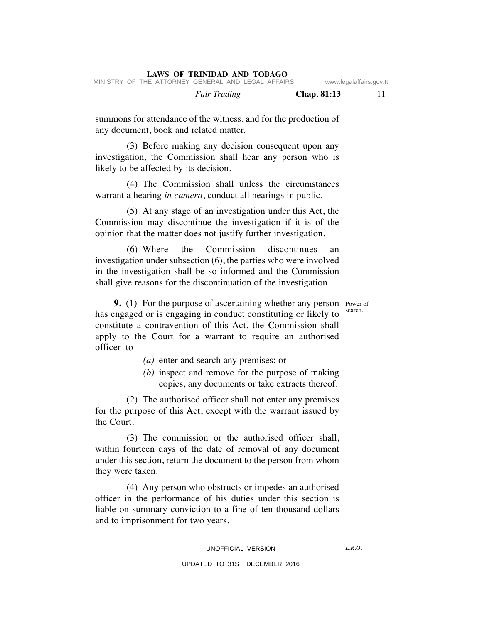|  |                     | IVIIINDIINI UI IIIE AITUNNEI UENENAE AND EEUAE AITAINU |             | www.icyalallallo.yuv.u |
|--|---------------------|--------------------------------------------------------|-------------|------------------------|
|  | <b>Fair Trading</b> |                                                        | Chap. 81:13 |                        |

summons for attendance of the witness, and for the production of any document, book and related matter.

(3) Before making any decision consequent upon any investigation, the Commission shall hear any person who is likely to be affected by its decision.

(4) The Commission shall unless the circumstances warrant a hearing *in camera*, conduct all hearings in public.

(5) At any stage of an investigation under this Act, the Commission may discontinue the investigation if it is of the opinion that the matter does not justify further investigation.

(6) Where the Commission discontinues an investigation under subsection (6), the parties who were involved in the investigation shall be so informed and the Commission shall give reasons for the discontinuation of the investigation.

search.

**9.** (1) For the purpose of ascertaining whether any person Power of has engaged or is engaging in conduct constituting or likely to constitute a contravention of this Act, the Commission shall apply to the Court for a warrant to require an authorised officer to—

- *(a)* enter and search any premises; or
- *(b)* inspect and remove for the purpose of making copies, any documents or take extracts thereof.

(2) The authorised officer shall not enter any premises for the purpose of this Act, except with the warrant issued by the Court.

(3) The commission or the authorised officer shall, within fourteen days of the date of removal of any document under this section, return the document to the person from whom they were taken.

(4) Any person who obstructs or impedes an authorised officer in the performance of his duties under this section is liable on summary conviction to a fine of ten thousand dollars and to imprisonment for two years.

 $LRO$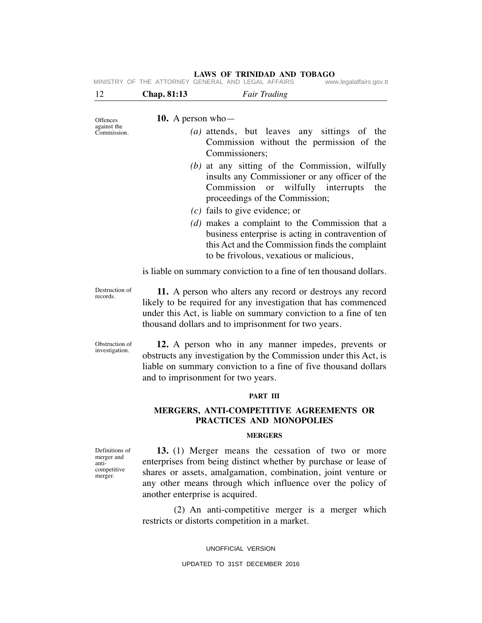| 12                                                              | Chap. 81:13                                                                                                                                                                                                                                            | <b>Fair Trading</b>                                                                                                                                                                                                                                                                    |  |  |  |  |  |  |  |
|-----------------------------------------------------------------|--------------------------------------------------------------------------------------------------------------------------------------------------------------------------------------------------------------------------------------------------------|----------------------------------------------------------------------------------------------------------------------------------------------------------------------------------------------------------------------------------------------------------------------------------------|--|--|--|--|--|--|--|
|                                                                 |                                                                                                                                                                                                                                                        |                                                                                                                                                                                                                                                                                        |  |  |  |  |  |  |  |
| Offences<br>against the                                         | 10. A person who-                                                                                                                                                                                                                                      |                                                                                                                                                                                                                                                                                        |  |  |  |  |  |  |  |
| Commission.                                                     |                                                                                                                                                                                                                                                        | (a) attends, but leaves any sittings of the<br>Commission without the permission of the<br>Commissioners;                                                                                                                                                                              |  |  |  |  |  |  |  |
|                                                                 |                                                                                                                                                                                                                                                        | $(b)$ at any sitting of the Commission, wilfully<br>insults any Commissioner or any officer of the<br>Commission or wilfully interrupts<br>the<br>proceedings of the Commission;                                                                                                       |  |  |  |  |  |  |  |
|                                                                 |                                                                                                                                                                                                                                                        | $(c)$ fails to give evidence; or                                                                                                                                                                                                                                                       |  |  |  |  |  |  |  |
|                                                                 | (d) makes a complaint to the Commission that a<br>business enterprise is acting in contravention of<br>this Act and the Commission finds the complaint<br>to be frivolous, vexatious or malicious,                                                     |                                                                                                                                                                                                                                                                                        |  |  |  |  |  |  |  |
|                                                                 | is liable on summary conviction to a fine of ten thousand dollars.                                                                                                                                                                                     |                                                                                                                                                                                                                                                                                        |  |  |  |  |  |  |  |
| Destruction of<br>records.                                      | 11. A person who alters any record or destroys any record<br>likely to be required for any investigation that has commenced<br>under this Act, is liable on summary conviction to a fine of ten<br>thousand dollars and to imprisonment for two years. |                                                                                                                                                                                                                                                                                        |  |  |  |  |  |  |  |
| Obstruction of<br>investigation.                                |                                                                                                                                                                                                                                                        | 12. A person who in any manner impedes, prevents or<br>obstructs any investigation by the Commission under this Act, is<br>liable on summary conviction to a fine of five thousand dollars<br>and to imprisonment for two years.                                                       |  |  |  |  |  |  |  |
|                                                                 |                                                                                                                                                                                                                                                        | PART III                                                                                                                                                                                                                                                                               |  |  |  |  |  |  |  |
|                                                                 |                                                                                                                                                                                                                                                        | MERGERS, ANTI-COMPETITIVE AGREEMENTS OR<br>PRACTICES AND MONOPOLIES                                                                                                                                                                                                                    |  |  |  |  |  |  |  |
|                                                                 |                                                                                                                                                                                                                                                        | <b>MERGERS</b>                                                                                                                                                                                                                                                                         |  |  |  |  |  |  |  |
| Definitions of<br>merger and<br>anti-<br>competitive<br>merger. |                                                                                                                                                                                                                                                        | 13. (1) Merger means the cessation of two or more<br>enterprises from being distinct whether by purchase or lease of<br>shares or assets, amalgamation, combination, joint venture or<br>any other means through which influence over the policy of<br>another enterprise is acquired. |  |  |  |  |  |  |  |
|                                                                 |                                                                                                                                                                                                                                                        | (2) An anti-competitive merger is a merger which<br>restricts or distorts competition in a market.                                                                                                                                                                                     |  |  |  |  |  |  |  |
|                                                                 |                                                                                                                                                                                                                                                        | UNOFFICIAL VERSION                                                                                                                                                                                                                                                                     |  |  |  |  |  |  |  |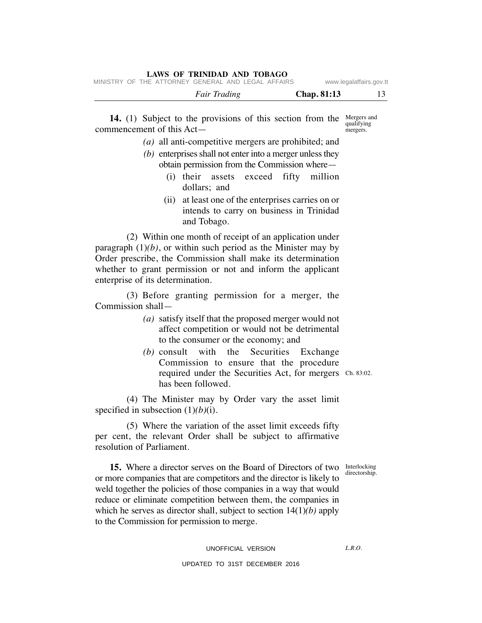MINISTRY OF THE ATTORNEY GENERAL AND LEGAL AFFAIRS www.legalaffairs.gov.tt

**14.** (1) Subject to the provisions of this section from the Mergers and commencement of this Act—

- *(a)* all anti-competitive mergers are prohibited; and
- *(b)* enterprises shall not enter into a merger unless they obtain permission from the Commission where—
	- (i) their assets exceed fifty million dollars; and
	- (ii) at least one of the enterprises carries on or intends to carry on business in Trinidad and Tobago.

(2) Within one month of receipt of an application under paragraph  $(1)(b)$ , or within such period as the Minister may by Order prescribe, the Commission shall make its determination whether to grant permission or not and inform the applicant enterprise of its determination.

(3) Before granting permission for a merger, the Commission shall—

- *(a)* satisfy itself that the proposed merger would not affect competition or would not be detrimental to the consumer or the economy; and
- *(b)* consult with the Securities Exchange Commission to ensure that the procedure required under the Securities Act, for mergers Ch. 83:02. has been followed.

(4) The Minister may by Order vary the asset limit specified in subsection (1)*(b)*(i).

(5) Where the variation of the asset limit exceeds fifty per cent, the relevant Order shall be subject to affirmative resolution of Parliament.

directorship.

 $LRO$ 

**15.** Where a director serves on the Board of Directors of two Interlocking or more companies that are competitors and the director is likely to weld together the policies of those companies in a way that would reduce or eliminate competition between them, the companies in which he serves as director shall, subject to section 14(1)*(b)* apply to the Commission for permission to merge.

UNOFFICIAL VERSION

UPDATED TO 31ST DECEMBER 2016

qualifying mergers.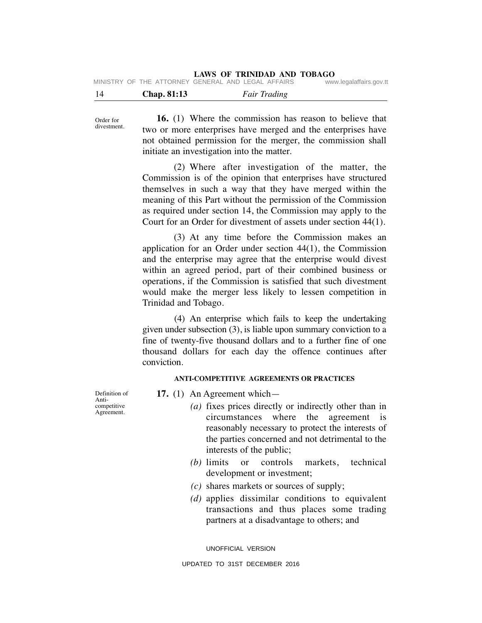**LAWS OF TRINIDAD AND TOBAGO**

|  | MINISTRY OF THE ATTORNEY GENERAL AND LEGAL AFFAIRS |  |  | www.legalaffairs.gov.tt |
|--|----------------------------------------------------|--|--|-------------------------|

| 14 | Chap. 81:13 | <b>Fair Trading</b> |  |
|----|-------------|---------------------|--|
|    |             |                     |  |

Order for divestment.

**16.** (1) Where the commission has reason to believe that two or more enterprises have merged and the enterprises have not obtained permission for the merger, the commission shall initiate an investigation into the matter.

(2) Where after investigation of the matter, the Commission is of the opinion that enterprises have structured themselves in such a way that they have merged within the meaning of this Part without the permission of the Commission as required under section 14, the Commission may apply to the Court for an Order for divestment of assets under section 44(1).

(3) At any time before the Commission makes an application for an Order under section 44(1), the Commission and the enterprise may agree that the enterprise would divest within an agreed period, part of their combined business or operations, if the Commission is satisfied that such divestment would make the merger less likely to lessen competition in Trinidad and Tobago.

(4) An enterprise which fails to keep the undertaking given under subsection (3), is liable upon summary conviction to a fine of twenty-five thousand dollars and to a further fine of one thousand dollars for each day the offence continues after conviction.

# **ANTI-COMPETITIVE AGREEMENTS OR PRACTICES**

Definition of competitive

Anti-

Agreement.

- **17.** (1) An Agreement which—
	- *(a)* fixes prices directly or indirectly other than in circumstances where the agreement is reasonably necessary to protect the interests of the parties concerned and not detrimental to the interests of the public;
	- *(b)* limits or controls markets, technical development or investment;
	- *(c)* shares markets or sources of supply;
	- *(d)* applies dissimilar conditions to equivalent transactions and thus places some trading partners at a disadvantage to others; and

UNOFFICIAL VERSION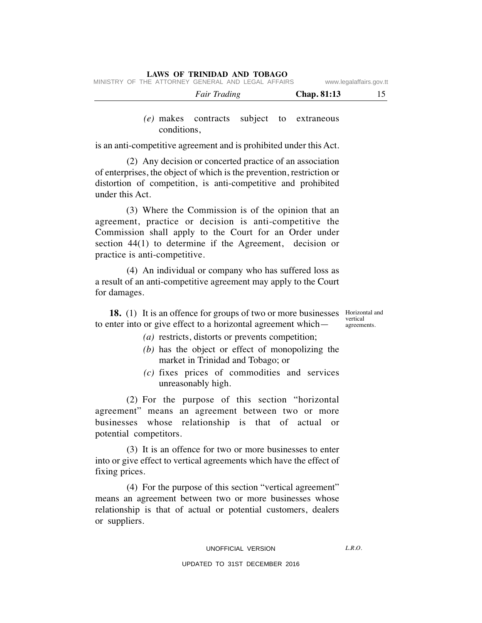|  |                                                    | <b>Fair Trading</b> |  |  | Chap. 81:13 |                         |
|--|----------------------------------------------------|---------------------|--|--|-------------|-------------------------|
|  | MINISTRY OF THE ATTORNEY GENERAL AND LEGAL AFFAIRS |                     |  |  |             | www.legalaffairs.gov.tt |

# *(e)* makes contracts subject to extraneous conditions,

is an anti-competitive agreement and is prohibited under this Act.

(2) Any decision or concerted practice of an association of enterprises, the object of which is the prevention, restriction or distortion of competition, is anti-competitive and prohibited under this Act.

(3) Where the Commission is of the opinion that an agreement, practice or decision is anti-competitive the Commission shall apply to the Court for an Order under section 44(1) to determine if the Agreement, decision or practice is anti-competitive.

(4) An individual or company who has suffered loss as a result of an anti-competitive agreement may apply to the Court for damages.

**18.** (1) It is an offence for groups of two or more businesses Horizontal and to enter into or give effect to a horizontal agreement which—

vertical agreements.

- *(a)* restricts, distorts or prevents competition;
- *(b)* has the object or effect of monopolizing the market in Trinidad and Tobago; or
- *(c)* fixes prices of commodities and services unreasonably high.

(2) For the purpose of this section "horizontal agreement" means an agreement between two or more businesses whose relationship is that of actual or potential competitors.

(3) It is an offence for two or more businesses to enter into or give effect to vertical agreements which have the effect of fixing prices.

(4) For the purpose of this section "vertical agreement" means an agreement between two or more businesses whose relationship is that of actual or potential customers, dealers or suppliers.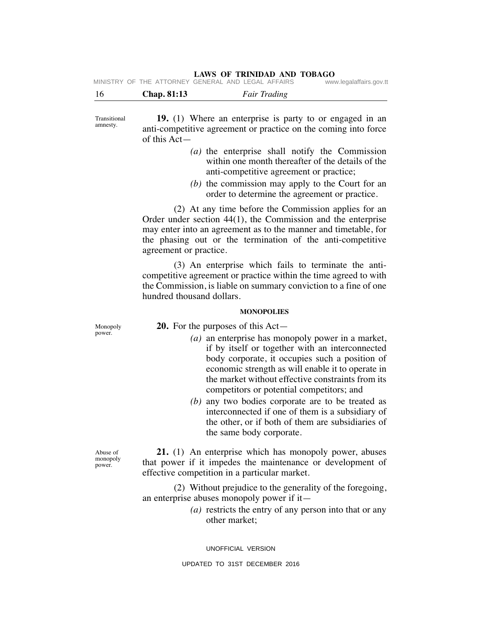|  | MINISTRY OF THE ATTORNEY GENERAL AND LEGAL AFFAIRS |  |  | www.legalaffairs.gov.tt |
|--|----------------------------------------------------|--|--|-------------------------|
|  |                                                    |  |  |                         |

| 16 | Chap. 81:13 | <b>Fair Trading</b> |
|----|-------------|---------------------|
|    |             |                     |

Transitional amnesty.

**19.** (1) Where an enterprise is party to or engaged in an anti-competitive agreement or practice on the coming into force of this Act—

- *(a)* the enterprise shall notify the Commission within one month thereafter of the details of the anti-competitive agreement or practice;
- *(b)* the commission may apply to the Court for an order to determine the agreement or practice.

(2) At any time before the Commission applies for an Order under section 44(1), the Commission and the enterprise may enter into an agreement as to the manner and timetable, for the phasing out or the termination of the anti-competitive agreement or practice.

(3) An enterprise which fails to terminate the anticompetitive agreement or practice within the time agreed to with the Commission, is liable on summary conviction to a fine of one hundred thousand dollars.

### **MONOPOLIES**

Monopoly power.

- **20.** For the purposes of this Act—
	- *(a)* an enterprise has monopoly power in a market, if by itself or together with an interconnected body corporate, it occupies such a position of economic strength as will enable it to operate in the market without effective constraints from its competitors or potential competitors; and
	- *(b)* any two bodies corporate are to be treated as interconnected if one of them is a subsidiary of the other, or if both of them are subsidiaries of the same body corporate.

**21.** (1) An enterprise which has monopoly power, abuses that power if it impedes the maintenance or development of effective competition in a particular market.

(2) Without prejudice to the generality of the foregoing, an enterprise abuses monopoly power if it—

> *(a)* restricts the entry of any person into that or any other market;

UNOFFICIAL VERSION

Abuse of monopoly power.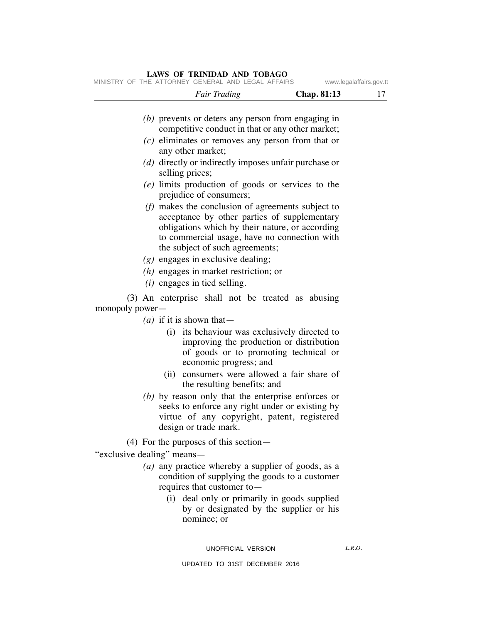#### **LAWS OF TRINIDAD AND TOBAGO** MINISTRY OF THE ATTORNEY GENERAL AND LEGAL AFFAIRS www.legalaffairs.gov.tt

|                 | <b>Fair Trading</b>                                                                                                                                                                                                                       | Chap. 81:13 | 17 |  |  |  |  |  |
|-----------------|-------------------------------------------------------------------------------------------------------------------------------------------------------------------------------------------------------------------------------------------|-------------|----|--|--|--|--|--|
|                 | $(b)$ prevents or deters any person from engaging in<br>competitive conduct in that or any other market;                                                                                                                                  |             |    |  |  |  |  |  |
|                 | $(c)$ eliminates or removes any person from that or<br>any other market;                                                                                                                                                                  |             |    |  |  |  |  |  |
|                 | (d) directly or indirectly imposes unfair purchase or<br>selling prices;                                                                                                                                                                  |             |    |  |  |  |  |  |
|                 | (e) limits production of goods or services to the<br>prejudice of consumers;                                                                                                                                                              |             |    |  |  |  |  |  |
|                 | $(f)$ makes the conclusion of agreements subject to<br>acceptance by other parties of supplementary<br>obligations which by their nature, or according<br>to commercial usage, have no connection with<br>the subject of such agreements; |             |    |  |  |  |  |  |
|                 | $(g)$ engages in exclusive dealing;                                                                                                                                                                                                       |             |    |  |  |  |  |  |
|                 | $(h)$ engages in market restriction; or                                                                                                                                                                                                   |             |    |  |  |  |  |  |
|                 | $(i)$ engages in tied selling.                                                                                                                                                                                                            |             |    |  |  |  |  |  |
| monopoly power- | (3) An enterprise shall not be treated as abusing                                                                                                                                                                                         |             |    |  |  |  |  |  |
|                 | (a) if it is shown that —                                                                                                                                                                                                                 |             |    |  |  |  |  |  |
|                 | its behaviour was exclusively directed to<br>(i)<br>improving the production or distribution<br>of goods or to promoting technical or<br>economic progress; and                                                                           |             |    |  |  |  |  |  |
|                 | consumers were allowed a fair share of<br>(ii)<br>the resulting benefits; and                                                                                                                                                             |             |    |  |  |  |  |  |
|                 | (b) by reason only that the enterprise enforces or<br>seeks to enforce any right under or existing by<br>virtue of any copyright, patent, registered<br>design or trade mark.                                                             |             |    |  |  |  |  |  |
|                 | $(4)$ For the purposes of this section—                                                                                                                                                                                                   |             |    |  |  |  |  |  |

"exclusive dealing" means—

- *(a)* any practice whereby a supplier of goods, as a condition of supplying the goods to a customer requires that customer to—
	- (i) deal only or primarily in goods supplied by or designated by the supplier or his nominee; or

*L.R.O.*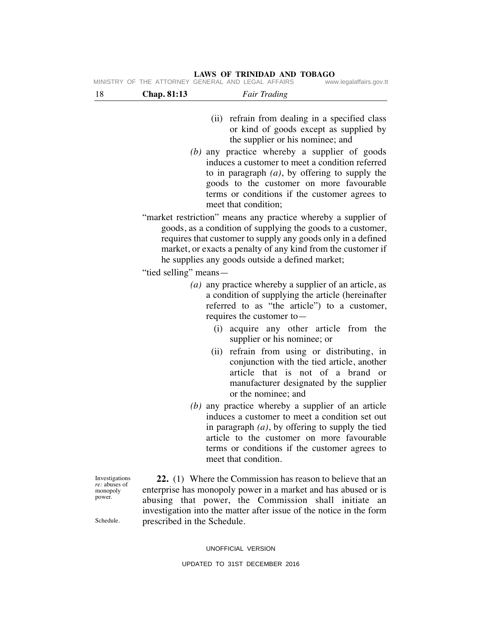# 18 **Chap. 81:13** *Fair Trading* (ii) refrain from dealing in a specified class or kind of goods except as supplied by the supplier or his nominee; and *(b)* any practice whereby a supplier of goods induces a customer to meet a condition referred to in paragraph *(a)*, by offering to supply the goods to the customer on more favourable terms or conditions if the customer agrees to meet that condition; "market restriction" means any practice whereby a supplier of goods, as a condition of supplying the goods to a customer, requires that customer to supply any goods only in a defined market, or exacts a penalty of any kind from the customer if he supplies any goods outside a defined market; "tied selling" means— *(a)* any practice whereby a supplier of an article, as a condition of supplying the article (hereinafter referred to as "the article") to a customer, requires the customer to— (i) acquire any other article from the supplier or his nominee; or (ii) refrain from using or distributing, in conjunction with the tied article, another article that is not of a brand or manufacturer designated by the supplier or the nominee; and *(b)* any practice whereby a supplier of an article induces a customer to meet a condition set out in paragraph *(a)*, by offering to supply the tied article to the customer on more favourable terms or conditions if the customer agrees to meet that condition. **22.** (1) Where the Commission has reason to believe that an enterprise has monopoly power in a market and has abused or is Investigations *re:* abuses of monopoly

MINISTRY OF THE ATTORNEY GENERAL AND LEGAL AFFAIRS

**LAWS OF TRINIDAD AND TOBAGO**

abusing that power, the Commission shall initiate an investigation into the matter after issue of the notice in the form prescribed in the Schedule.

Schedule.

power.

UNOFFICIAL VERSION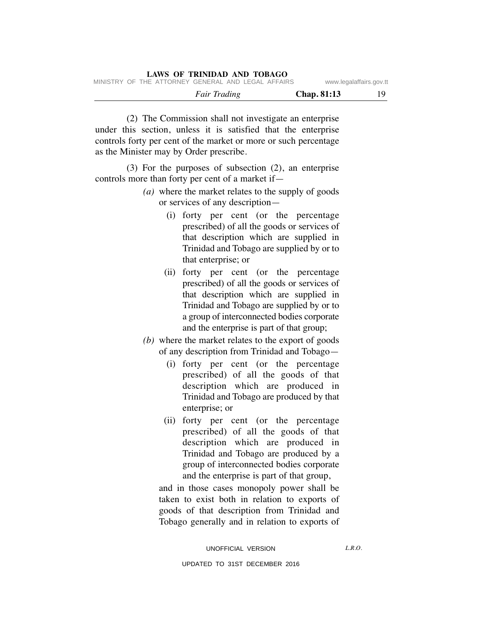(2) The Commission shall not investigate an enterprise under this section, unless it is satisfied that the enterprise controls forty per cent of the market or more or such percentage as the Minister may by Order prescribe.

(3) For the purposes of subsection (2), an enterprise controls more than forty per cent of a market if—

- *(a)* where the market relates to the supply of goods or services of any description—
	- (i) forty per cent (or the percentage prescribed) of all the goods or services of that description which are supplied in Trinidad and Tobago are supplied by or to that enterprise; or
	- (ii) forty per cent (or the percentage prescribed) of all the goods or services of that description which are supplied in Trinidad and Tobago are supplied by or to a group of interconnected bodies corporate and the enterprise is part of that group;
- *(b)* where the market relates to the export of goods of any description from Trinidad and Tobago—
	- (i) forty per cent (or the percentage prescribed) of all the goods of that description which are produced in Trinidad and Tobago are produced by that enterprise; or
	- (ii) forty per cent (or the percentage prescribed) of all the goods of that description which are produced in Trinidad and Tobago are produced by a group of interconnected bodies corporate and the enterprise is part of that group,

and in those cases monopoly power shall be taken to exist both in relation to exports of goods of that description from Trinidad and Tobago generally and in relation to exports of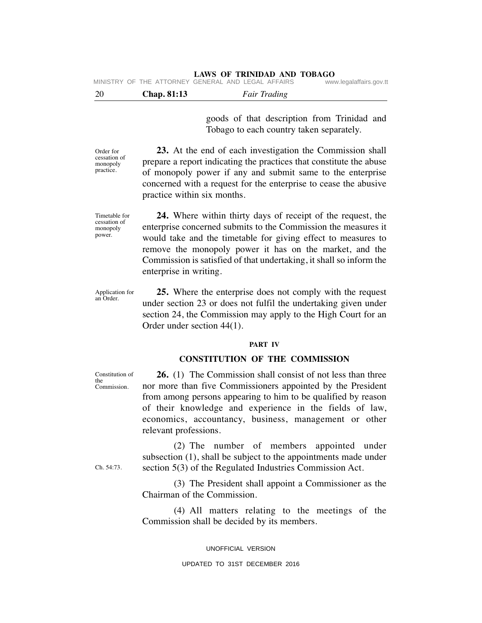|  | MINISTRY OF THE ATTORNEY GENERAL AND LEGAL AFFAIRS |  |  | www.legalaffairs.gov.tt |
|--|----------------------------------------------------|--|--|-------------------------|
|  |                                                    |  |  |                         |

20 **Chap. 81:13** *Fair Trading*

goods of that description from Trinidad and Tobago to each country taken separately.

**23.** At the end of each investigation the Commission shall prepare a report indicating the practices that constitute the abuse of monopoly power if any and submit same to the enterprise concerned with a request for the enterprise to cease the abusive practice within six months.

**24.** Where within thirty days of receipt of the request, the enterprise concerned submits to the Commission the measures it would take and the timetable for giving effect to measures to remove the monopoly power it has on the market, and the Commission is satisfied of that undertaking, it shall so inform the enterprise in writing.

**25.** Where the enterprise does not comply with the request under section 23 or does not fulfil the undertaking given under section 24, the Commission may apply to the High Court for an Order under section 44(1).

#### **PART IV**

# **CONSTITUTION OF THE COMMISSION**

**26.** (1) The Commission shall consist of not less than three nor more than five Commissioners appointed by the President from among persons appearing to him to be qualified by reason of their knowledge and experience in the fields of law, economics, accountancy, business, management or other relevant professions.

(2) The number of members appointed under subsection (1), shall be subject to the appointments made under section 5(3) of the Regulated Industries Commission Act.

(3) The President shall appoint a Commissioner as the Chairman of the Commission.

(4) All matters relating to the meetings of the Commission shall be decided by its members.

UNOFFICIAL VERSION

### UPDATED TO 31ST DECEMBER 2016

Order for cessation of monopoly practice.

cessation of monopoly power.

Timetable for

Application for an Order.

Constitution of

the Commission.

Ch. 54:73.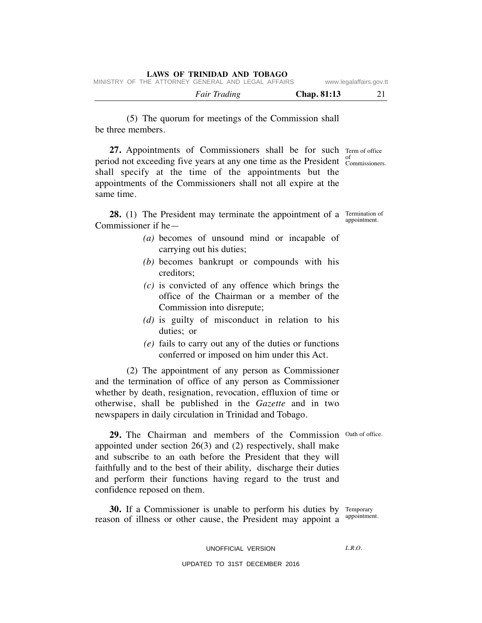|  | LAWS OF TRINIDAD AND TOBAGO                        |                         |
|--|----------------------------------------------------|-------------------------|
|  | MINISTRY OF THE ATTORNEY GENERAL AND LEGAL AFFAIRS | www.legalaffairs.gov.tt |

*Fair Trading* **Chap. 81:13** 21

(5) The quorum for meetings of the Commission shall be three members.

27. Appointments of Commissioners shall be for such Term of office period not exceeding five years at any one time as the President  $_{C}^{of}$ shall specify at the time of the appointments but the appointments of the Commissioners shall not all expire at the same time. Commissioners.

**28.** (1) The President may terminate the appointment of a Termination of Commissioner if he—

- *(a)* becomes of unsound mind or incapable of carrying out his duties;
- *(b)* becomes bankrupt or compounds with his creditors;
- *(c)* is convicted of any offence which brings the office of the Chairman or a member of the Commission into disrepute;
- *(d)* is guilty of misconduct in relation to his duties; or
- *(e)* fails to carry out any of the duties or functions conferred or imposed on him under this Act.

(2) The appointment of any person as Commissioner and the termination of office of any person as Commissioner whether by death, resignation, revocation, effluxion of time or otherwise, shall be published in the *Gazette* and in two newspapers in daily circulation in Trinidad and Tobago.

appointment.

29. The Chairman and members of the Commission Oath of office. appointed under section 26(3) and (2) respectively, shall make and subscribe to an oath before the President that they will faithfully and to the best of their ability, discharge their duties and perform their functions having regard to the trust and confidence reposed on them.

**30.** If a Commissioner is unable to perform his duties by Temporary reason of illness or other cause, the President may appoint a appointment.

UNOFFICIAL VERSION

 $LRO$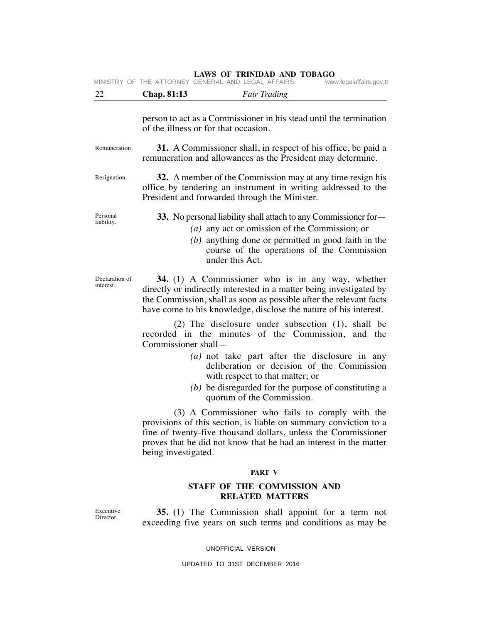| 22                          | Chap. 81:13                                                                                                                                                                                                                                                        | <b>Fair Trading</b>                                                                                                                                  |  |  |  |  |
|-----------------------------|--------------------------------------------------------------------------------------------------------------------------------------------------------------------------------------------------------------------------------------------------------------------|------------------------------------------------------------------------------------------------------------------------------------------------------|--|--|--|--|
|                             |                                                                                                                                                                                                                                                                    |                                                                                                                                                      |  |  |  |  |
|                             | person to act as a Commissioner in his stead until the termination<br>of the illness or for that occasion.                                                                                                                                                         |                                                                                                                                                      |  |  |  |  |
| Remuneration.               | <b>31.</b> A Commissioner shall, in respect of his office, be paid a<br>remuneration and allowances as the President may determine.                                                                                                                                |                                                                                                                                                      |  |  |  |  |
| Resignation.                | 32. A member of the Commission may at any time resign his<br>office by tendering an instrument in writing addressed to the<br>President and forwarded through the Minister.                                                                                        |                                                                                                                                                      |  |  |  |  |
| Personal<br>liability.      | 33. No personal liability shall attach to any Commissioner for-<br>under this Act.                                                                                                                                                                                 | (a) any act or omission of the Commission; or<br>$(b)$ anything done or permitted in good faith in the<br>course of the operations of the Commission |  |  |  |  |
| Declaration of<br>interest. | 34. (1) A Commissioner who is in any way, whether<br>directly or indirectly interested in a matter being investigated by<br>the Commission, shall as soon as possible after the relevant facts<br>have come to his knowledge, disclose the nature of his interest. |                                                                                                                                                      |  |  |  |  |
|                             | recorded in the minutes of the Commission, and the<br>Commissioner shall-                                                                                                                                                                                          | (2) The disclosure under subsection (1), shall be                                                                                                    |  |  |  |  |
|                             |                                                                                                                                                                                                                                                                    | (a) not take part after the disclosure in any<br>deliberation or decision of the Commission<br>with respect to that matter; or                       |  |  |  |  |
|                             |                                                                                                                                                                                                                                                                    | (b) be disregarded for the purpose of constituting a<br>quorum of the Commission.                                                                    |  |  |  |  |
|                             | provisions of this section, is liable on summary conviction to a<br>fine of twenty-five thousand dollars, unless the Commissioner<br>proves that he did not know that he had an interest in the matter<br>being investigated.                                      | (3) A Commissioner who fails to comply with the                                                                                                      |  |  |  |  |
|                             |                                                                                                                                                                                                                                                                    | PART V                                                                                                                                               |  |  |  |  |
|                             |                                                                                                                                                                                                                                                                    | STAFF OF THE COMMISSION AND<br><b>RELATED MATTERS</b>                                                                                                |  |  |  |  |
| Executive<br>Director.      | 35. (1) The Commission shall appoint for a term not<br>exceeding five years on such terms and conditions as may be                                                                                                                                                 |                                                                                                                                                      |  |  |  |  |
|                             |                                                                                                                                                                                                                                                                    |                                                                                                                                                      |  |  |  |  |

UNOFFICIAL VERSION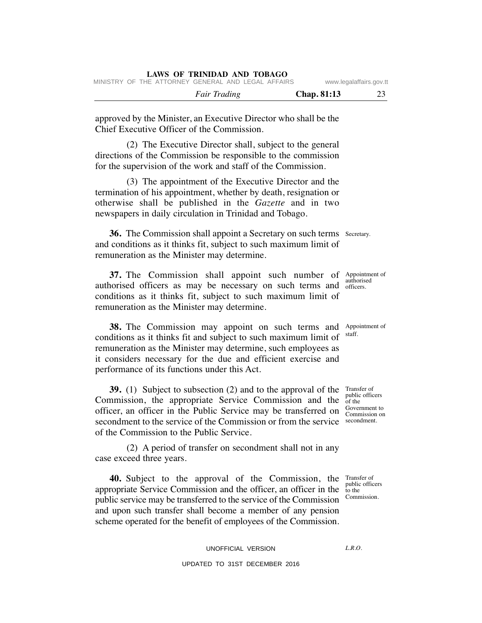|  |                     | $\ldots$    |  |
|--|---------------------|-------------|--|
|  | <i>Fair Trading</i> | Chap. 81:13 |  |

approved by the Minister, an Executive Director who shall be the Chief Executive Officer of the Commission.

(2) The Executive Director shall, subject to the general directions of the Commission be responsible to the commission for the supervision of the work and staff of the Commission.

(3) The appointment of the Executive Director and the termination of his appointment, whether by death, resignation or otherwise shall be published in the *Gazette* and in two newspapers in daily circulation in Trinidad and Tobago.

**36.** The Commission shall appoint a Secretary on such terms Secretary. and conditions as it thinks fit, subject to such maximum limit of remuneration as the Minister may determine.

**37.** The Commission shall appoint such number of Appointment of authorised officers as may be necessary on such terms and officers. conditions as it thinks fit, subject to such maximum limit of remuneration as the Minister may determine.

**38.** The Commission may appoint on such terms and Appointment of conditions as it thinks fit and subject to such maximum limit of remuneration as the Minister may determine, such employees as it considers necessary for the due and efficient exercise and performance of its functions under this Act.

**39.** (1) Subject to subsection (2) and to the approval of the Transfer of Commission, the appropriate Service Commission and the public officers officer, an officer in the Public Service may be transferred on  $\frac{Govermment to}{Commission on}$ secondment to the service of the Commission or from the service secondment. of the Commission to the Public Service.

(2) A period of transfer on secondment shall not in any case exceed three years.

**40.** Subject to the approval of the Commission, the Transfer of appropriate Service Commission and the officer, an officer in the public service may be transferred to the service of the Commission and upon such transfer shall become a member of any pension scheme operated for the benefit of employees of the Commission.

public officers to the Commission.

 $LRO$ 

authorised

staff.

of the Commission on

UNOFFICIAL VERSION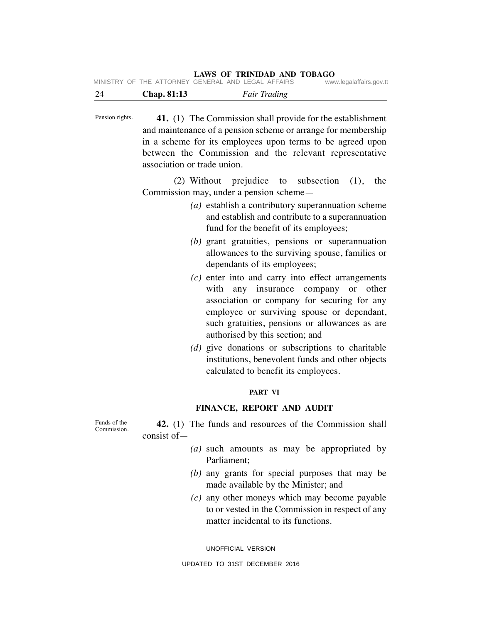24 **Chap. 81:13** *Fair Trading*

**41.** (1) The Commission shall provide for the establishment and maintenance of a pension scheme or arrange for membership in a scheme for its employees upon terms to be agreed upon between the Commission and the relevant representative association or trade union. Pension rights.

> (2) Without prejudice to subsection (1), the Commission may, under a pension scheme—

- *(a)* establish a contributory superannuation scheme and establish and contribute to a superannuation fund for the benefit of its employees;
- *(b)* grant gratuities, pensions or superannuation allowances to the surviving spouse, families or dependants of its employees;
- *(c)* enter into and carry into effect arrangements with any insurance company or other association or company for securing for any employee or surviving spouse or dependant, such gratuities, pensions or allowances as are authorised by this section; and
- *(d)* give donations or subscriptions to charitable institutions, benevolent funds and other objects calculated to benefit its employees.

# **PART VI**

# **FINANCE, REPORT AND AUDIT**

Funds of the Commission.

- **42.** (1) The funds and resources of the Commission shall consist of—
	- *(a)* such amounts as may be appropriated by Parliament;
	- *(b)* any grants for special purposes that may be made available by the Minister; and
	- *(c)* any other moneys which may become payable to or vested in the Commission in respect of any matter incidental to its functions.

UNOFFICIAL VERSION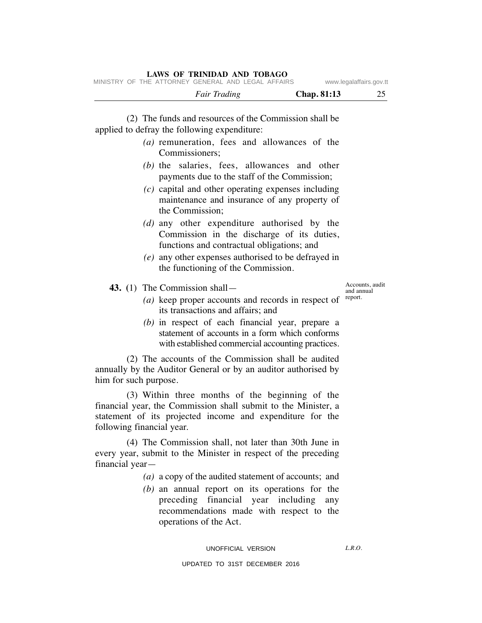| <i>Fair Trading</i>                                                                                                                                                                                                                                                                                                                                                              | Chap. 81:13 | 25                                       |
|----------------------------------------------------------------------------------------------------------------------------------------------------------------------------------------------------------------------------------------------------------------------------------------------------------------------------------------------------------------------------------|-------------|------------------------------------------|
| (2) The funds and resources of the Commission shall be<br>applied to defray the following expenditure:<br>(a) remuneration, fees and allowances of the<br>Commissioners;<br>(b) the salaries, fees, allowances and other<br>payments due to the staff of the Commission;<br>$(c)$ capital and other operating expenses including<br>maintenance and insurance of any property of |             |                                          |
| the Commission;<br>(d) any other expenditure authorised by the<br>Commission in the discharge of its duties,<br>functions and contractual obligations; and<br>$(e)$ any other expenses authorised to be defrayed in<br>the functioning of the Commission.                                                                                                                        |             |                                          |
| 43. $(1)$ The Commission shall —<br>(a) keep proper accounts and records in respect of<br>its transactions and affairs; and<br>(b) in respect of each financial year, prepare a<br>statement of accounts in a form which conforms<br>with established commercial accounting practices.                                                                                           |             | Accounts, audit<br>and annual<br>report. |

(2) The accounts of the Commission shall be audited annually by the Auditor General or by an auditor authorised by him for such purpose.

(3) Within three months of the beginning of the financial year, the Commission shall submit to the Minister, a statement of its projected income and expenditure for the following financial year.

(4) The Commission shall, not later than 30th June in every year, submit to the Minister in respect of the preceding financial year—

- *(a)* a copy of the audited statement of accounts; and
- *(b)* an annual report on its operations for the preceding financial year including any recommendations made with respect to the operations of the Act.

#### UNOFFICIAL VERSION

*L.R.O.*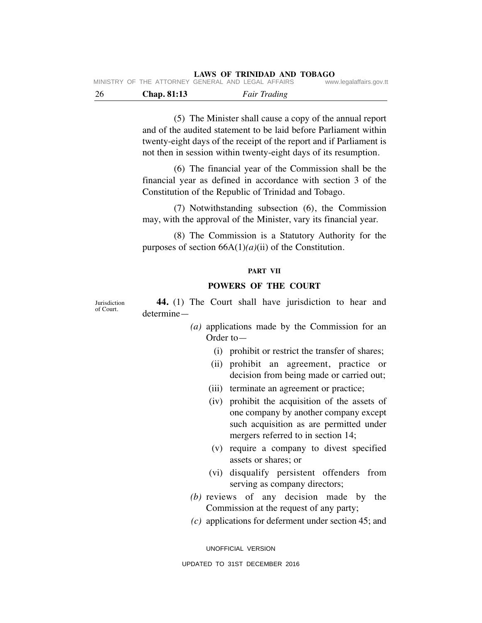|      | MINISTRY OF THE ATTORNEY GENERAL AND LEGAL AFFAIRS | LAWS OF INFORMER AND TODAYO | www.legalaffairs.gov.tt |
|------|----------------------------------------------------|-----------------------------|-------------------------|
| - 26 | Chap. 81:13                                        | <b>Fair Trading</b>         |                         |

(5) The Minister shall cause a copy of the annual report and of the audited statement to be laid before Parliament within twenty-eight days of the receipt of the report and if Parliament is not then in session within twenty-eight days of its resumption.

(6) The financial year of the Commission shall be the financial year as defined in accordance with section 3 of the Constitution of the Republic of Trinidad and Tobago.

(7) Notwithstanding subsection (6), the Commission may, with the approval of the Minister, vary its financial year.

(8) The Commission is a Statutory Authority for the purposes of section 66A(1)*(a)*(ii) of the Constitution.

## **PART VII**

# **POWERS OF THE COURT**

Jurisdiction of Court.

**44.** (1) The Court shall have jurisdiction to hear and determine—

- *(a)* applications made by the Commission for an Order to—
	- (i) prohibit or restrict the transfer of shares;
	- (ii) prohibit an agreement, practice or decision from being made or carried out;
	- (iii) terminate an agreement or practice;
	- (iv) prohibit the acquisition of the assets of one company by another company except such acquisition as are permitted under mergers referred to in section 14;
	- (v) require a company to divest specified assets or shares; or
	- (vi) disqualify persistent offenders from serving as company directors;
- *(b)* reviews of any decision made by the Commission at the request of any party;
- *(c)* applications for deferment under section 45; and

UNOFFICIAL VERSION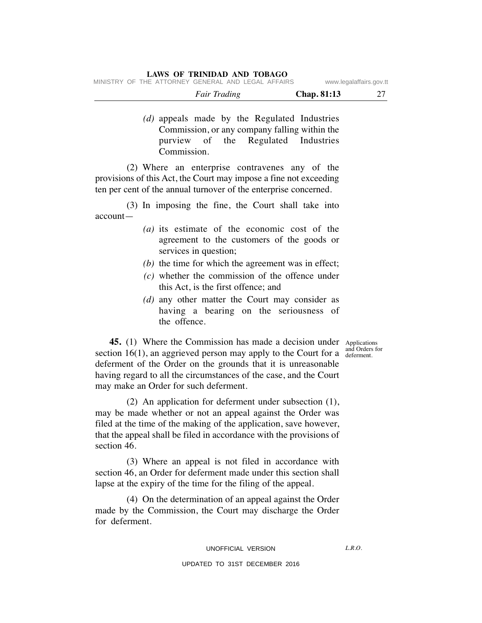|  |                                                    | <i>Fair Trading</i> |  |  | <b>Chap.</b> 81:13 |                         |
|--|----------------------------------------------------|---------------------|--|--|--------------------|-------------------------|
|  | MINISTRY OF THE ATTORNEY GENERAL AND LEGAL AFFAIRS |                     |  |  |                    | www.legalaffairs.gov.tt |

*(d)* appeals made by the Regulated Industries Commission, or any company falling within the purview of the Regulated Industries Commission.

(2) Where an enterprise contravenes any of the provisions of this Act, the Court may impose a fine not exceeding ten per cent of the annual turnover of the enterprise concerned.

(3) In imposing the fine, the Court shall take into account—

- *(a)* its estimate of the economic cost of the agreement to the customers of the goods or services in question;
- *(b)* the time for which the agreement was in effect;
- *(c)* whether the commission of the offence under this Act, is the first offence; and
- *(d)* any other matter the Court may consider as having a bearing on the seriousness of the offence.

and Orders for

**45.** (1) Where the Commission has made a decision under Applications section 16(1), an aggrieved person may apply to the Court for a  $\frac{d}{d}$  deferment. deferment of the Order on the grounds that it is unreasonable having regard to all the circumstances of the case, and the Court may make an Order for such deferment.

(2) An application for deferment under subsection (1), may be made whether or not an appeal against the Order was filed at the time of the making of the application, save however, that the appeal shall be filed in accordance with the provisions of section 46.

(3) Where an appeal is not filed in accordance with section 46, an Order for deferment made under this section shall lapse at the expiry of the time for the filing of the appeal.

(4) On the determination of an appeal against the Order made by the Commission, the Court may discharge the Order for deferment.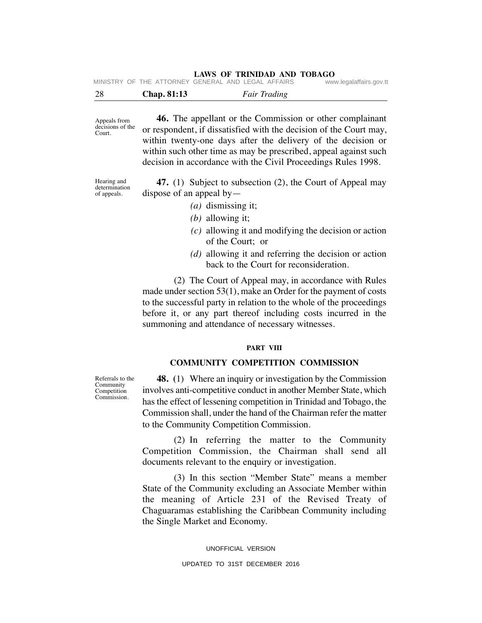| 28 | Chap. 81:13 | <b>Fair Trading</b> |
|----|-------------|---------------------|
|    |             |                     |

Appeals from decisions of the Court.

**46.** The appellant or the Commission or other complainant or respondent, if dissatisfied with the decision of the Court may, within twenty-one days after the delivery of the decision or within such other time as may be prescribed, appeal against such decision in accordance with the Civil Proceedings Rules 1998.

Hearing and determination of appeals.

**47.** (1) Subject to subsection (2), the Court of Appeal may dispose of an appeal by  $-$ 

- *(a)* dismissing it;
- *(b)* allowing it;
- *(c)* allowing it and modifying the decision or action of the Court; or
- *(d)* allowing it and referring the decision or action back to the Court for reconsideration.

(2) The Court of Appeal may, in accordance with Rules made under section 53(1), make an Order for the payment of costs to the successful party in relation to the whole of the proceedings before it, or any part thereof including costs incurred in the summoning and attendance of necessary witnesses.

# **PART VIII**

# **COMMUNITY COMPETITION COMMISSION**

**48. (**1) Where an inquiry or investigation by the Commission involves anti-competitive conduct in another Member State, which has the effect of lessening competition in Trinidad and Tobago, the Commission shall, under the hand of the Chairman refer the matter to the Community Competition Commission.

(2) In referring the matter to the Community Competition Commission, the Chairman shall send all documents relevant to the enquiry or investigation.

(3) In this section "Member State" means a member State of the Community excluding an Associate Member within the meaning of Article 231 of the Revised Treaty of Chaguaramas establishing the Caribbean Community including the Single Market and Economy.

> UNOFFICIAL VERSION UPDATED TO 31ST DECEMBER 2016

Referrals to the Community Competition Commission.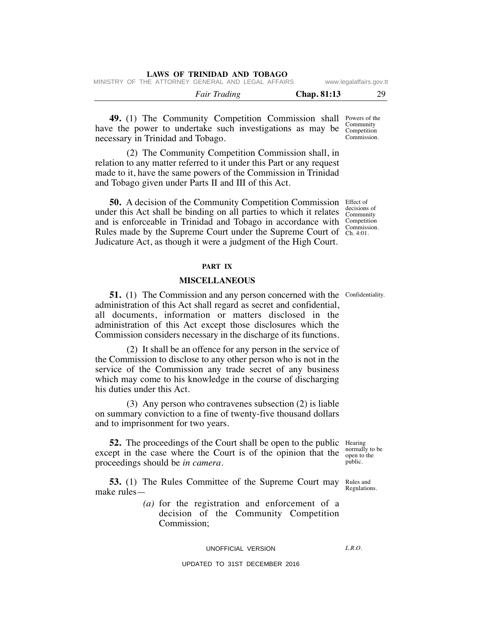|  | LAWS OF TRINIDAD AND TOBAGO |                                                    |                    |                         |
|--|-----------------------------|----------------------------------------------------|--------------------|-------------------------|
|  |                             | MINISTRY OF THE ATTORNEY GENERAL AND LEGAL AFFAIRS |                    | www.legalaffairs.gov.tt |
|  | <b>Fair Trading</b>         |                                                    | <b>Chap.</b> 81:13 | 29                      |

**49.** (1) The Community Competition Commission shall Powers of the have the power to undertake such investigations as may be Community necessary in Trinidad and Tobago. Competition Commission.

(2) The Community Competition Commission shall, in relation to any matter referred to it under this Part or any request made to it, have the same powers of the Commission in Trinidad and Tobago given under Parts II and III of this Act.

**50.** A decision of the Community Competition Commission Effect of under this Act shall be binding on all parties to which it relates  $\frac{\text{decisions of}}{\text{Commutity}}$ and is enforceable in Trinidad and Tobago in accordance with Competition Rules made by the Supreme Court under the Supreme Court of Ch. 4:01. Judicature Act, as though it were a judgment of the High Court. Community

# **PART IX**

## **MISCELLANEOUS**

**51.** (1) The Commission and any person concerned with the Confidentiality. administration of this Act shall regard as secret and confidential, all documents, information or matters disclosed in the administration of this Act except those disclosures which the Commission considers necessary in the discharge of its functions.

(2) It shall be an offence for any person in the service of the Commission to disclose to any other person who is not in the service of the Commission any trade secret of any business which may come to his knowledge in the course of discharging his duties under this Act.

(3) Any person who contravenes subsection (2) is liable on summary conviction to a fine of twenty-five thousand dollars and to imprisonment for two years.

**52.** The proceedings of the Court shall be open to the public Hearing except in the case where the Court is of the opinion that the proceedings should be *in camera*.

**53.** (1) The Rules Committee of the Supreme Court may make rules— Rules and Regulations.

> *(a)* for the registration and enforcement of a decision of the Community Competition Commission;

> > UNOFFICIAL VERSION

 $LRO$ 

normally to be open to the public.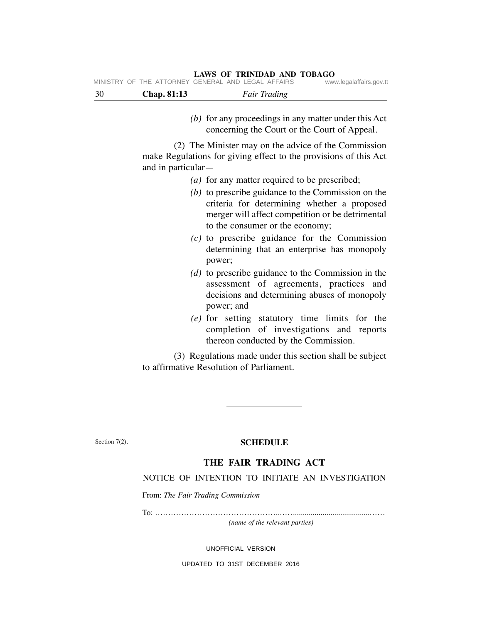#### **LAWS OF TRINIDAD AND TOBAGO** MINISTRY OF THE ATTORNEY GENERAL AND LEGAL AFFAIRS www.legalaffairs.gov.tt

| -30 | Chap. 81:13 | <b>Fair Trading</b>                               |                         |
|-----|-------------|---------------------------------------------------|-------------------------|
|     |             | MINDIRI UF INE ATTURNEI GENERAL AND LEGAL AFFAIRS | www.iegalalialis.gov.tt |

*(b)* for any proceedings in any matter under this Act concerning the Court or the Court of Appeal.

(2) The Minister may on the advice of the Commission make Regulations for giving effect to the provisions of this Act and in particular—

- *(a)* for any matter required to be prescribed;
- *(b)* to prescribe guidance to the Commission on the criteria for determining whether a proposed merger will affect competition or be detrimental to the consumer or the economy;
- *(c)* to prescribe guidance for the Commission determining that an enterprise has monopoly power;
- *(d)* to prescribe guidance to the Commission in the assessment of agreements, practices and decisions and determining abuses of monopoly power; and
- *(e)* for setting statutory time limits for the completion of investigations and reports thereon conducted by the Commission.

(3) Regulations made under this section shall be subject to affirmative Resolution of Parliament.

Section 7(2).

# **SCHEDULE**

# **THE FAIR TRADING ACT**

# NOTICE OF INTENTION TO INITIATE AN INVESTIGATION

From: *The Fair Trading Commission*

To: ………………………………………..…….......................................……

*(name of the relevant parties)*

UNOFFICIAL VERSION